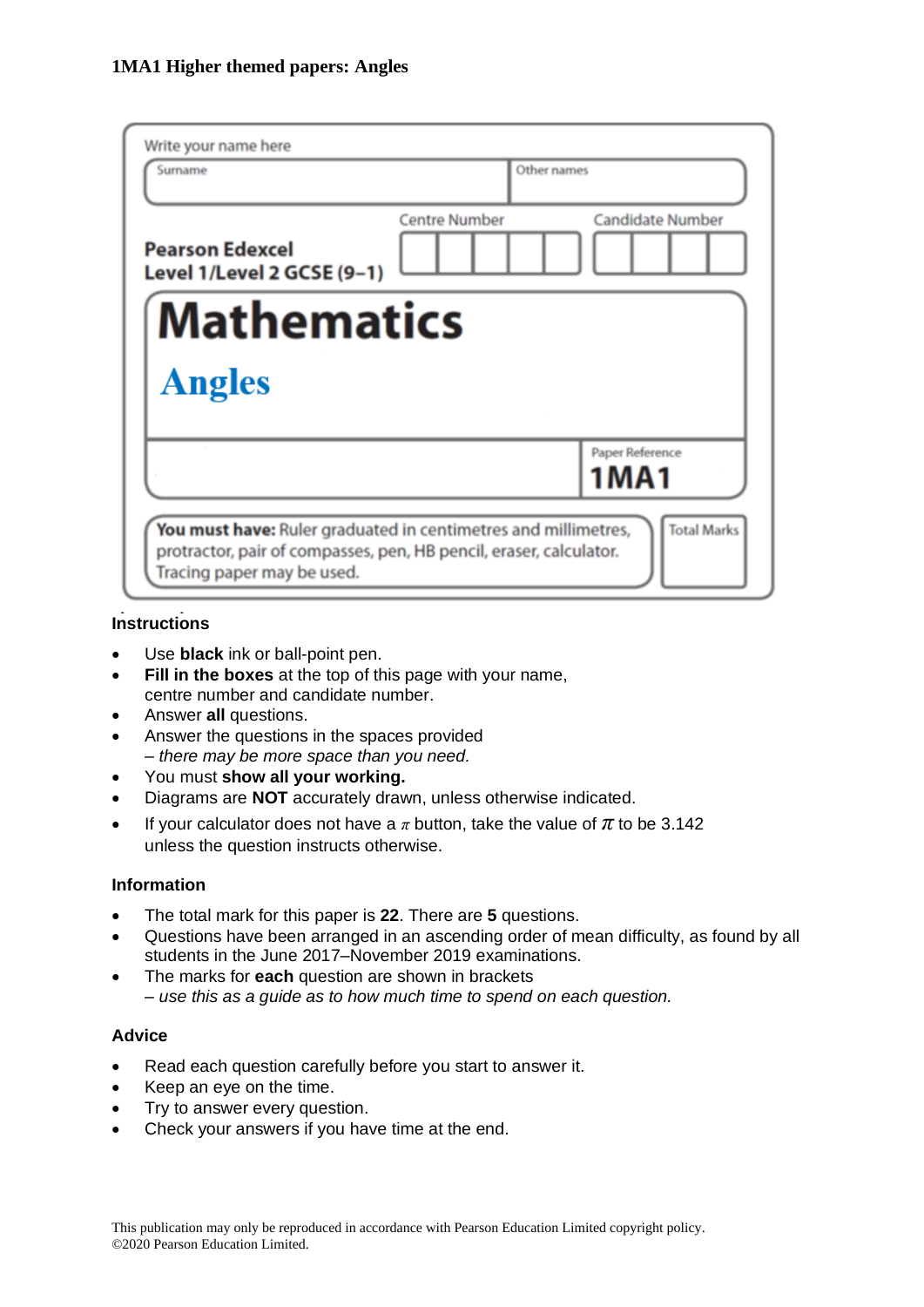| Write your name here                                                                                                                                               |                      |                                |
|--------------------------------------------------------------------------------------------------------------------------------------------------------------------|----------------------|--------------------------------|
| Surname                                                                                                                                                            | Other names          |                                |
| <b>Pearson Edexcel</b><br>Level 1/Level 2 GCSE (9-1)                                                                                                               | <b>Centre Number</b> | <b>Candidate Number</b>        |
| <b>Mathematics</b>                                                                                                                                                 |                      |                                |
| <b>Angles</b>                                                                                                                                                      |                      |                                |
|                                                                                                                                                                    |                      | Paper Reference<br><b>1MA1</b> |
| You must have: Ruler graduated in centimetres and millimetres,<br>protractor, pair of compasses, pen, HB pencil, eraser, calculator.<br>Tracing paper may be used. |                      | <b>Total Marks</b>             |

### **Instructions**

- Use **black** ink or ball-point pen.
- **Fill in the boxes** at the top of this page with your name, centre number and candidate number.
- Answer **all** questions.
- Answer the questions in the spaces provided *– there may be more space than you need.*
- You must **show all your working.**
- Diagrams are **NOT** accurately drawn, unless otherwise indicated.
- If your calculator does not have a  $\pi$  button, take the value of  $\pi$  to be 3.142 unless the question instructs otherwise.

#### **Information**

- The total mark for this paper is **22**. There are **5** questions.
- Questions have been arranged in an ascending order of mean difficulty, as found by all students in the June 2017–November 2019 examinations.
- The marks for **each** question are shown in brackets *– use this as a guide as to how much time to spend on each question.*

#### **Advice**

- Read each question carefully before you start to answer it.
- Keep an eye on the time.
- Try to answer every question.
- Check your answers if you have time at the end.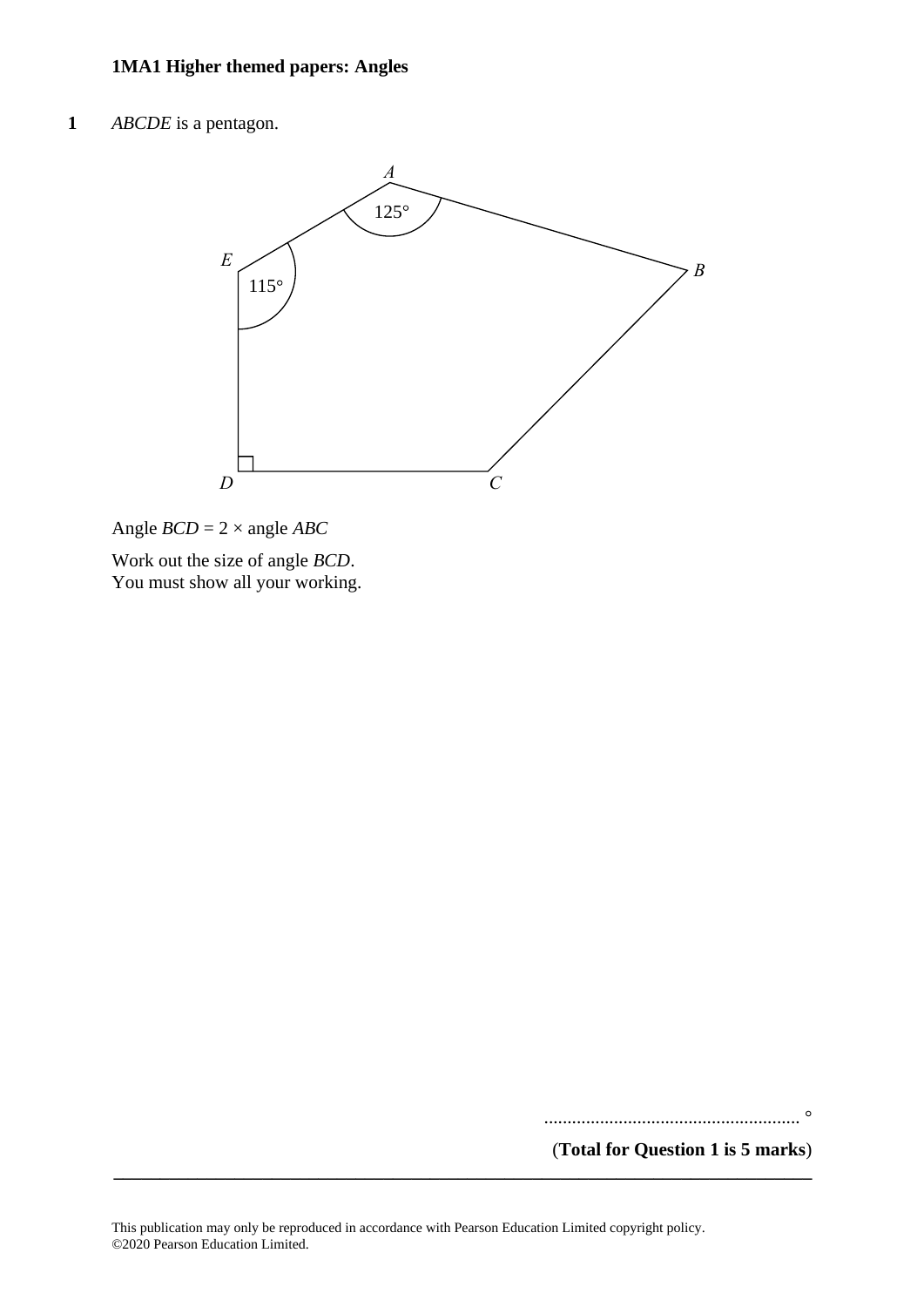**1** *ABCDE* is a pentagon. **8** *ABCDE* is <sup>a</sup> pentagon.



Angle *BCD* = 2 × angle *ABC* Angle *BCD* <sup>=</sup> 2<sup>×</sup> angle *ABC*

Work out the size of angle *BCD*. You must show all your working. You must show all your working.

....................................................... °

(**Total for Question 1 is 5 marks**)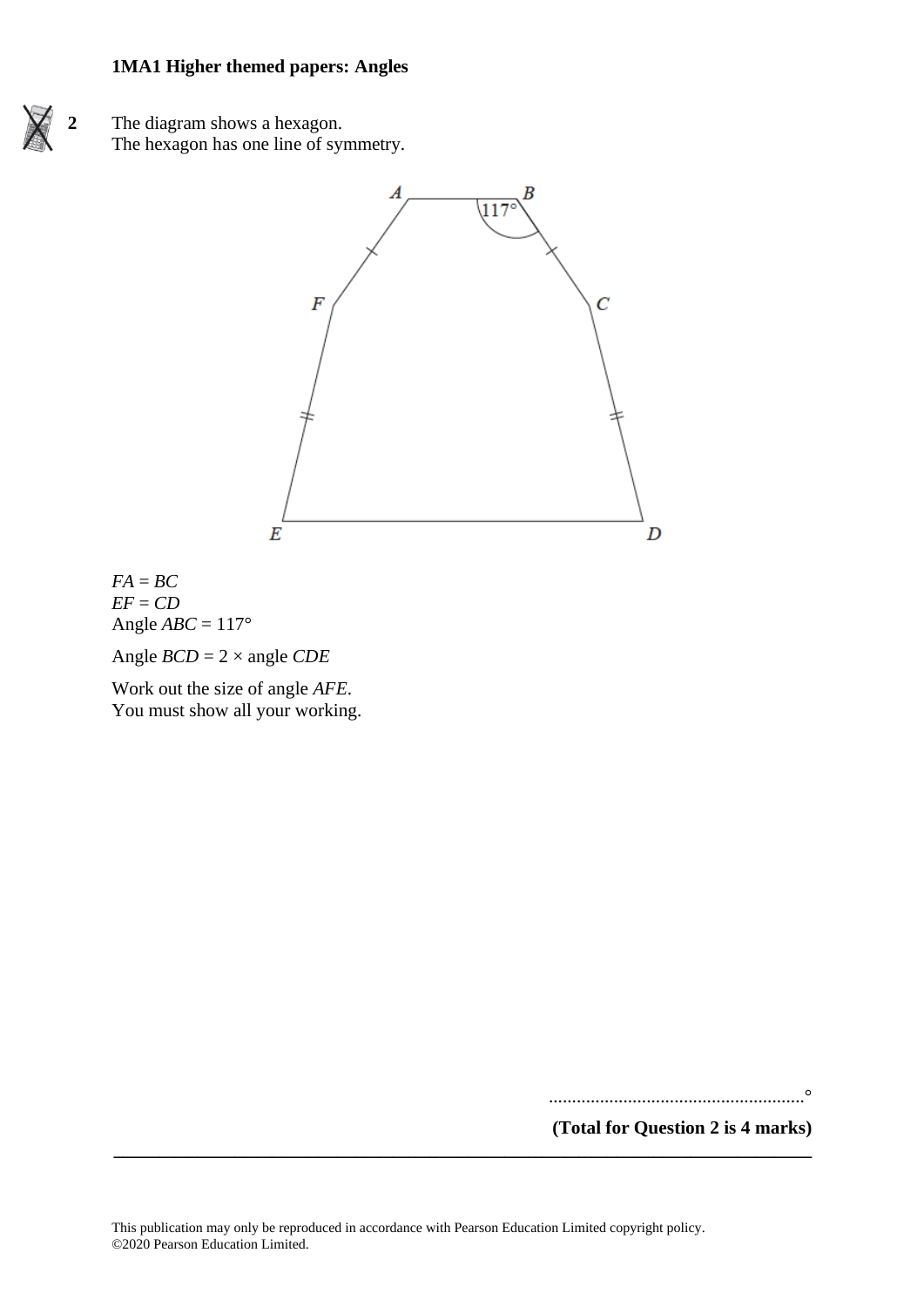



 $FA = BC$ *EF* = *CD* Angle  $ABC = 117^\circ$ 

Angle *BCD* = 2 × angle *CDE*

Work out the size of angle *AFE*. You must show all your working.

.......................................................°

**(Total for Question 2 is 4 marks)**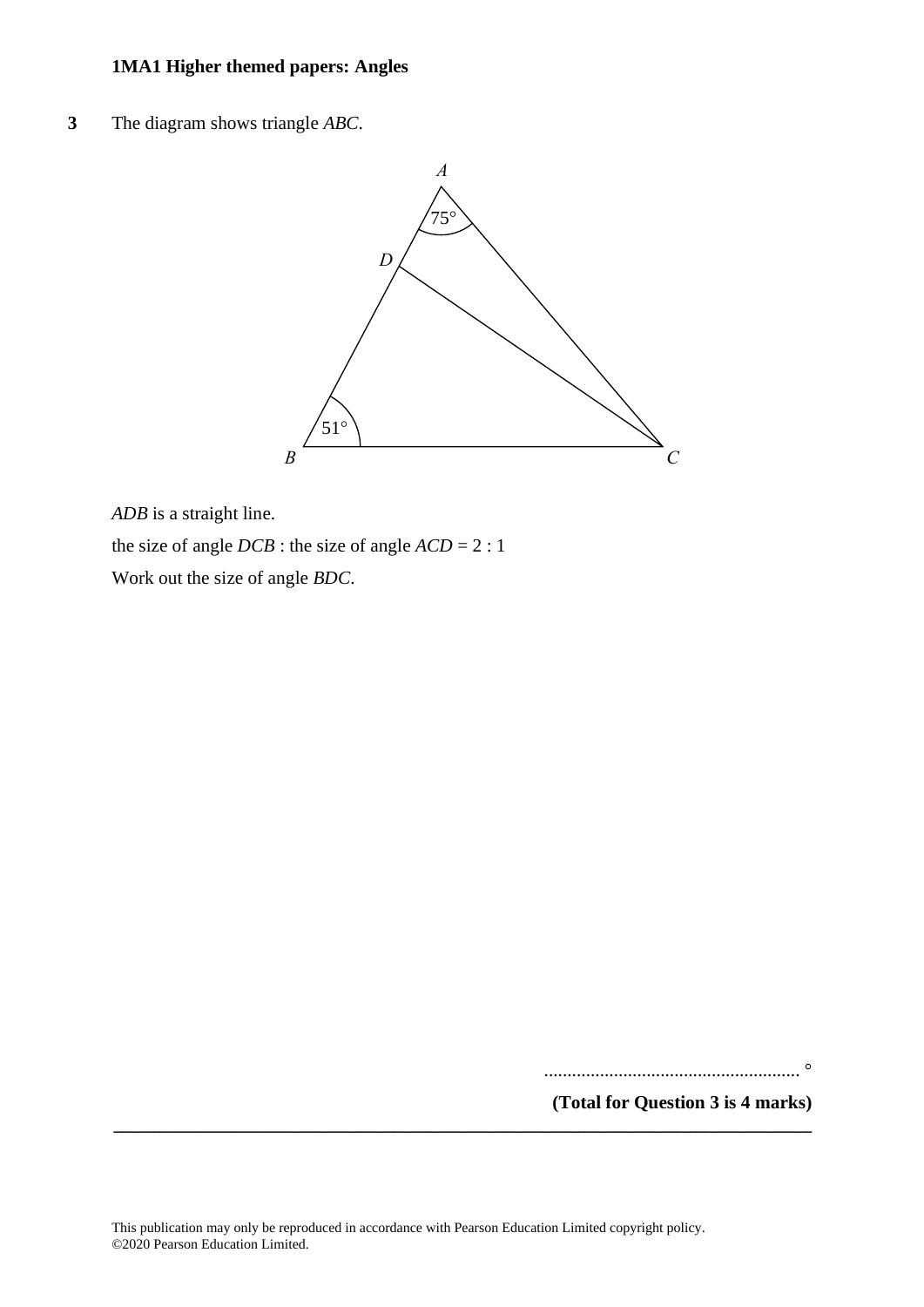**3** The diagram shows triangle *ABC*. **5** The diagram shows triangle *ABC*.



*ADB* is a straight line. *ADB* is <sup>a</sup> straight line.

the size of angle  $DCB$  : the size of angle  $ACD = 2 : 1$ 

Work out the size of angle *BDC*. Work out the size of angle *BDC*.

....................................................... °

**(Total for Question 3 is 4 marks)**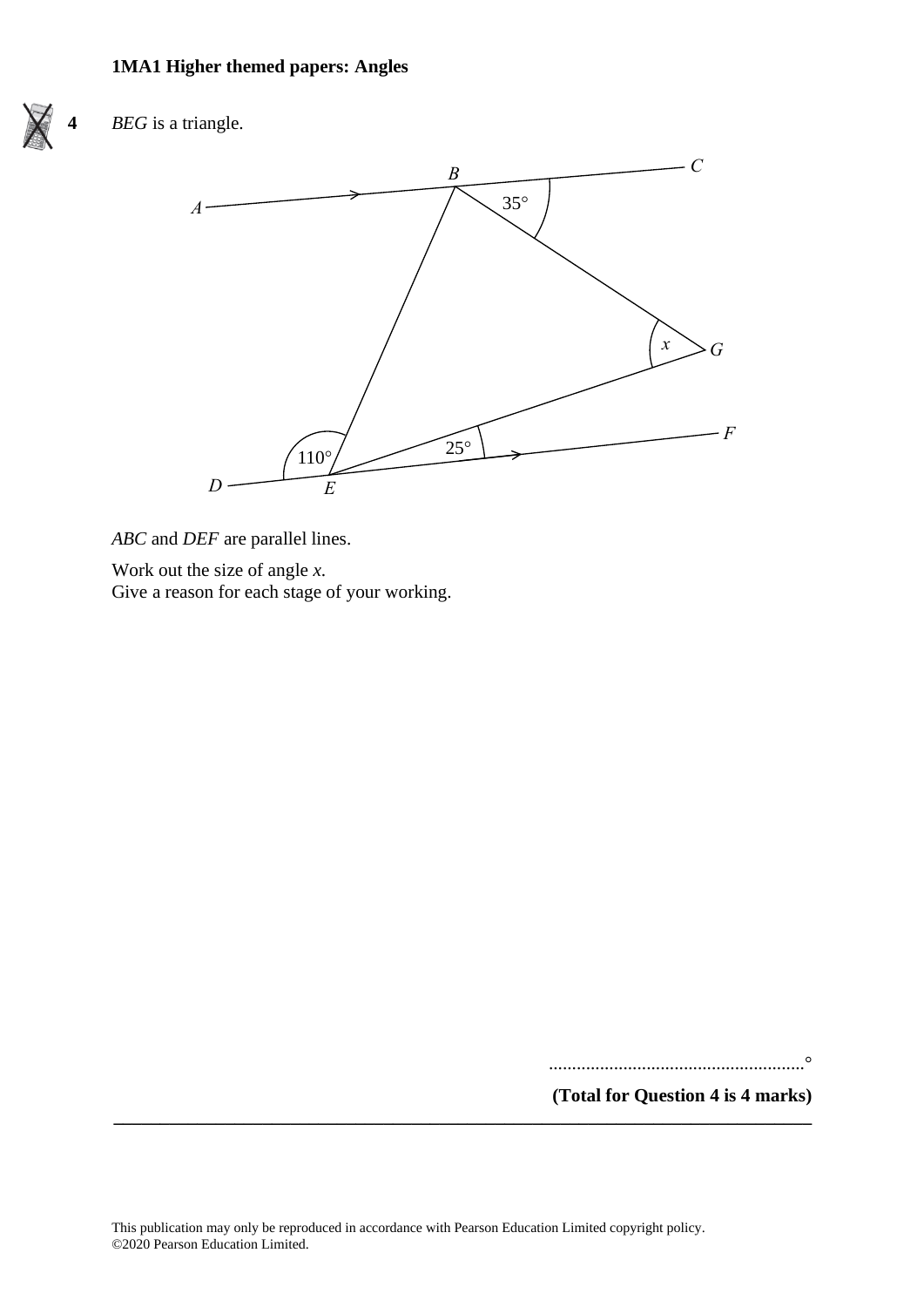

# **4** *BEG* is a triangle.



*ABC* and *DEF* are parallel lines. *ABC* and *DEF* are parallel lines.

Work out the size of angle *x*. Work out the size of angle *<sup>x</sup>*. Give a reason for each stage of your working. Give <sup>a</sup> reason for each stage of your working.

.......................................................°

**(Total for Question 4 is 4 marks)**